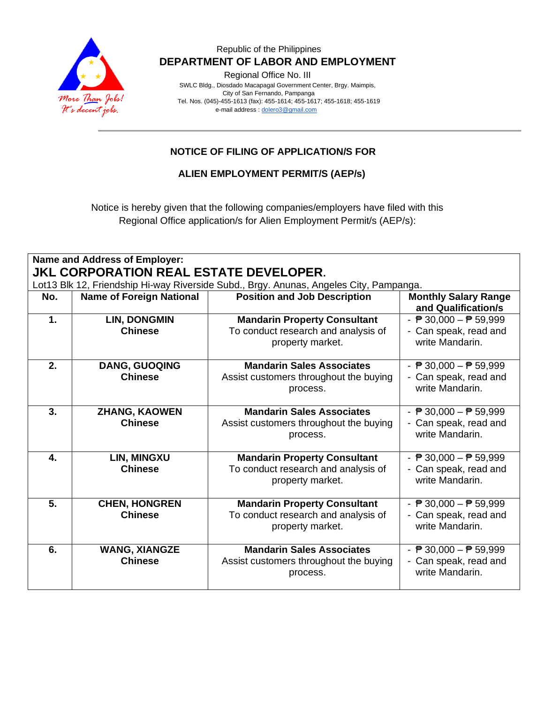

#### Republic of the Philippines  **DEPARTMENT OF LABOR AND EMPLOYMENT**

Regional Office No. III

 SWLC Bldg., Diosdado Macapagal Government Center, Brgy. Maimpis, City of San Fernando, Pampanga Tel. Nos. (045)-455-1613 (fax): 455-1614; 455-1617; 455-1618; 455-1619 e-mail address [: dolero3@gmail.com](mailto:dolero3@gmail.com)

## **NOTICE OF FILING OF APPLICATION/S FOR**

**ALIEN EMPLOYMENT PERMIT/S (AEP/s)**

Notice is hereby given that the following companies/employers have filed with this Regional Office application/s for Alien Employment Permit/s (AEP/s):

| Name and Address of Employer:                                                                                                           |                                        |                                                                                                |                                                                                             |  |
|-----------------------------------------------------------------------------------------------------------------------------------------|----------------------------------------|------------------------------------------------------------------------------------------------|---------------------------------------------------------------------------------------------|--|
| <b>JKL CORPORATION REAL ESTATE DEVELOPER.</b><br>Lot13 Blk 12, Friendship Hi-way Riverside Subd., Brgy. Anunas, Angeles City, Pampanga. |                                        |                                                                                                |                                                                                             |  |
| No.                                                                                                                                     | <b>Name of Foreign National</b>        | <b>Position and Job Description</b>                                                            | <b>Monthly Salary Range</b><br>and Qualification/s                                          |  |
| $\mathbf 1$ .                                                                                                                           | <b>LIN, DONGMIN</b><br><b>Chinese</b>  | <b>Mandarin Property Consultant</b><br>To conduct research and analysis of<br>property market. | - $\overline{P}$ 30,000 - $\overline{P}$ 59,999<br>- Can speak, read and<br>write Mandarin. |  |
| 2.                                                                                                                                      | <b>DANG, GUOQING</b><br><b>Chinese</b> | <b>Mandarin Sales Associates</b><br>Assist customers throughout the buying<br>process.         | - $\overline{P}$ 30,000 - $\overline{P}$ 59,999<br>- Can speak, read and<br>write Mandarin. |  |
| 3.                                                                                                                                      | <b>ZHANG, KAOWEN</b><br><b>Chinese</b> | <b>Mandarin Sales Associates</b><br>Assist customers throughout the buying<br>process.         | - $\overline{P}$ 30,000 - $\overline{P}$ 59,999<br>- Can speak, read and<br>write Mandarin. |  |
| 4.                                                                                                                                      | LIN, MINGXU<br><b>Chinese</b>          | <b>Mandarin Property Consultant</b><br>To conduct research and analysis of<br>property market. | - $\overline{P}$ 30,000 - $\overline{P}$ 59,999<br>- Can speak, read and<br>write Mandarin. |  |
| 5.                                                                                                                                      | <b>CHEN, HONGREN</b><br><b>Chinese</b> | <b>Mandarin Property Consultant</b><br>To conduct research and analysis of<br>property market. | - $P$ 30,000 - $P$ 59,999<br>- Can speak, read and<br>write Mandarin.                       |  |
| 6.                                                                                                                                      | <b>WANG, XIANGZE</b><br><b>Chinese</b> | <b>Mandarin Sales Associates</b><br>Assist customers throughout the buying<br>process.         | - $\overline{P}$ 30,000 - $\overline{P}$ 59,999<br>- Can speak, read and<br>write Mandarin. |  |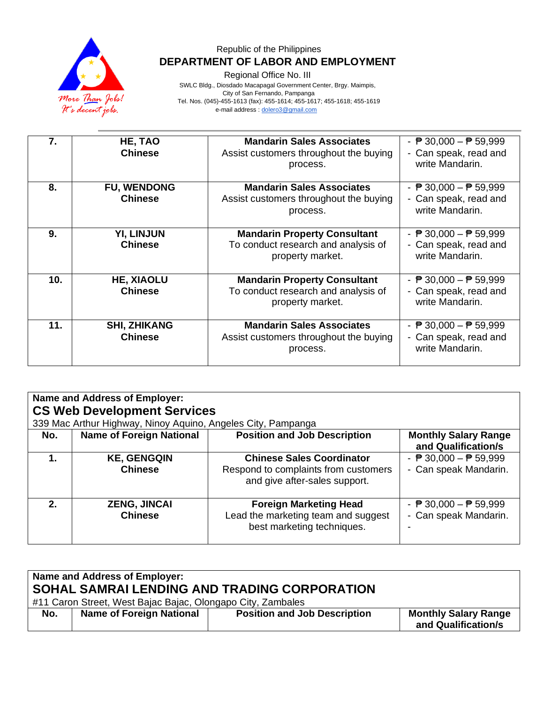

### Republic of the Philippines  **DEPARTMENT OF LABOR AND EMPLOYMENT**

Regional Office No. III

 SWLC Bldg., Diosdado Macapagal Government Center, Brgy. Maimpis, City of San Fernando, Pampanga

Tel. Nos. (045)-455-1613 (fax): 455-1614; 455-1617; 455-1618; 455-1619

e-mail address [: dolero3@gmail.com](mailto:dolero3@gmail.com)

| 7.  | HE, TAO<br><b>Chinese</b>             | <b>Mandarin Sales Associates</b><br>Assist customers throughout the buying<br>process.         | - $\overline{P}$ 30,000 - $\overline{P}$ 59,999<br>- Can speak, read and<br>write Mandarin. |
|-----|---------------------------------------|------------------------------------------------------------------------------------------------|---------------------------------------------------------------------------------------------|
| 8.  | <b>FU, WENDONG</b><br><b>Chinese</b>  | <b>Mandarin Sales Associates</b><br>Assist customers throughout the buying<br>process.         | - $\overline{P}$ 30,000 - $\overline{P}$ 59,999<br>- Can speak, read and<br>write Mandarin. |
| 9.  | <b>YI, LINJUN</b><br><b>Chinese</b>   | <b>Mandarin Property Consultant</b><br>To conduct research and analysis of<br>property market. | - $\overline{P}$ 30,000 - $\overline{P}$ 59,999<br>- Can speak, read and<br>write Mandarin. |
| 10. | <b>HE, XIAOLU</b><br><b>Chinese</b>   | <b>Mandarin Property Consultant</b><br>To conduct research and analysis of<br>property market. | - $\overline{P}$ 30,000 - $\overline{P}$ 59,999<br>- Can speak, read and<br>write Mandarin. |
| 11. | <b>SHI, ZHIKANG</b><br><b>Chinese</b> | <b>Mandarin Sales Associates</b><br>Assist customers throughout the buying<br>process.         | - $\overline{P}$ 30,000 - $\overline{P}$ 59,999<br>- Can speak, read and<br>write Mandarin. |

| Name and Address of Employer:<br><b>CS Web Development Services</b><br>339 Mac Arthur Highway, Ninoy Aquino, Angeles City, Pampanga |                                       |                                                                                                           |                                                                          |  |
|-------------------------------------------------------------------------------------------------------------------------------------|---------------------------------------|-----------------------------------------------------------------------------------------------------------|--------------------------------------------------------------------------|--|
| No.                                                                                                                                 | <b>Name of Foreign National</b>       | <b>Position and Job Description</b>                                                                       | <b>Monthly Salary Range</b><br>and Qualification/s                       |  |
| 1.                                                                                                                                  | <b>KE, GENGQIN</b><br><b>Chinese</b>  | <b>Chinese Sales Coordinator</b><br>Respond to complaints from customers<br>and give after-sales support. | - $\overline{P}$ 30,000 - $\overline{P}$ 59,999<br>- Can speak Mandarin. |  |
| 2 <sub>1</sub>                                                                                                                      | <b>ZENG, JINCAI</b><br><b>Chinese</b> | <b>Foreign Marketing Head</b><br>Lead the marketing team and suggest<br>best marketing techniques.        | - $\overline{P}$ 30,000 - $\overline{P}$ 59,999<br>- Can speak Mandarin. |  |

| Name and Address of Employer:                                                                               |                                 |                                     |                                                    |  |
|-------------------------------------------------------------------------------------------------------------|---------------------------------|-------------------------------------|----------------------------------------------------|--|
| SOHAL SAMRAI LENDING AND TRADING CORPORATION<br>#11 Caron Street, West Bajac Bajac, Olongapo City, Zambales |                                 |                                     |                                                    |  |
| No.                                                                                                         | <b>Name of Foreign National</b> | <b>Position and Job Description</b> | <b>Monthly Salary Range</b><br>and Qualification/s |  |